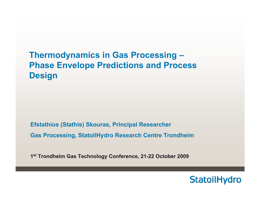## **Thermodynamics in Gas Processing – Phase Envelope Predictions and Process Design**

**Efstathios (Stathis) Skouras, Principal Researcher Gas Processing, StatoilHydro Research Centre Trondheim**

**1s<sup>t</sup> Trondheim Gas Technology Conference, 21-22 October 2009**

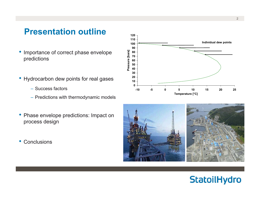## **Presentation outline**

- $\bullet$  Importance of correct phase envelope predictions
- $\bullet$  Hydrocarbon dew points for real gases
	- Success factors
	- Predictions with thermodynamic models
- $\bullet$  Phase envelope predictions: Impact on process design
- $\bullet$ **Conclusions**



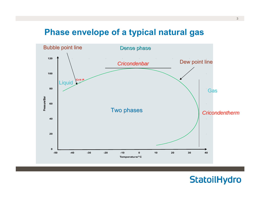## **Phase envelope of a typical natural gas**



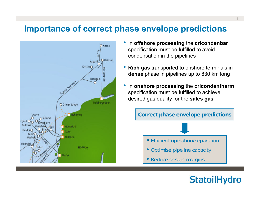### **Importance of correct phase envelope predictions**



- • In **offshore processing** the **cricondenbar** specification must be fulfilled to avoid condensation in the pipelines
- • **Rich gas** transported to onshore terminals in **dense** phase in pipelines up to 830 km long
- • In **onshore processing** the **cricondentherm** specification must be fulfilled to achieve desired gas quality for the **sales gas**



- Efficient operation/separation
- •Optimise pipeline capacity
- $\bullet$ Reduce design margins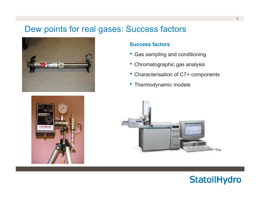### Dew points for real gases: Success factors





#### **Success factors**

- Gas sampling and conditioning
- Chromatographic gas analysis
- $\bullet$ Characterisation of C7+ components
- Thermodynamic models



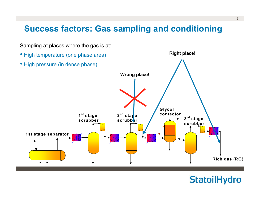## **Success factors: Gas sampling and conditioning**

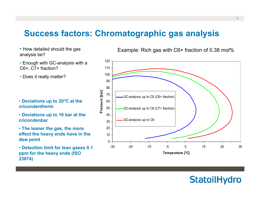### **Success factors: Chromatographic gas analysis**

- How detailed should the gas analysis be?
- Enough with GC-analysis with a C6+, C7+ fraction?
- Does it really matter?

- **Deviations up to 20°C at the cricondentherm**
- **Deviations up to 10 bar at the cricondenbar**
- **The leaner the gas, the more effect the heavy ends have in the dew point**
- **Detection limit for lean gases 0.1 ppm for the heavy ends (ISO 23874)**

Example: Rich gas with C6+ fraction of 0.38 mol%

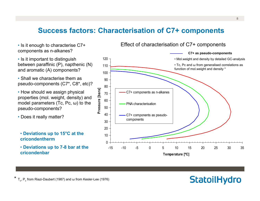### **Success factors: Characterisation of C7+ components**

- Is it enough to characterise C7+ components as n-alkanes?
- Is it important to distinguish between paraffinic (P), napthenic (N) and aromatic (A) components?
- Shall we characterise them as pseudo-components (C7\*, C8\*, etc)?
- How should we assign physical properties (mol. weight, density) and model parameters (Tc, Pc, <sup>ω</sup>) to the pseudo-components?
- Does it really matter?
- **Deviations up to 15°C at the cricondentherm**
- **Deviations up to 7-8 bar at the cricondenbar**



#### Effect of characterisation of C7+ components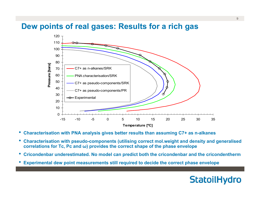### **Dew points of real gases: Results for a rich gas**



- •**Characterisation with PNA analysis gives better results than assuming C7+ as n-alkanes**
- • **Characterisation with pseudo-components (utilising correct mol.weight and density and generalised correlations for Tc, Pc and ω) provides the correct shape of the phase envelope**
- $\bullet$ **Cricondenbar underestimated. No model can predict both the cricondenbar and the cricondentherm**
- •**Experimental dew point measurements still required to decide the correct phase envelope**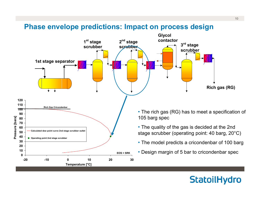#### **Phase envelope predictions: Impact on process design**

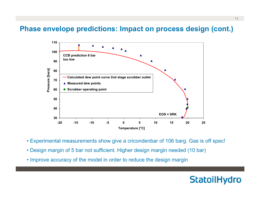#### **Phase envelope predictions: Impact on process design (cont.)**



- Experimental measurements show give a cricondenbar of 106 barg. Gas is off spec!
- Design margin of 5 bar not sufficient. Higher design margin needed (10 bar)
- Improve accuracy of the model in order to reduce the design margin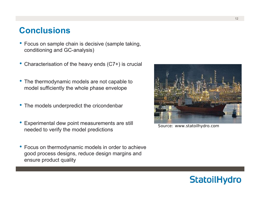### **Conclusions**

- • Focus on sample chain is decisive (sample taking, conditioning and GC-analysis)
- •Characterisation of the heavy ends (C7+) is crucial
- • The thermodynamic models are not capable to model sufficiently the whole phase envelope
- The models underpredict the cricondenbar
- • Experimental dew point measurements are still needed to verify the model predictions
- • Focus on thermodynamic models in order to achieve good process designs, reduce design margins and ensure product quality



Source: www.statoilhydro.com

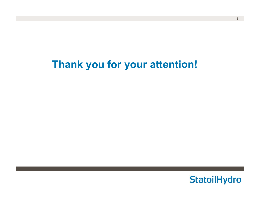# **Thank you for your attention!**

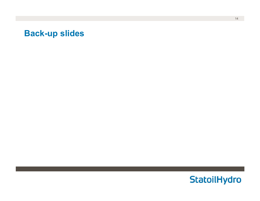### **Back-up slides**

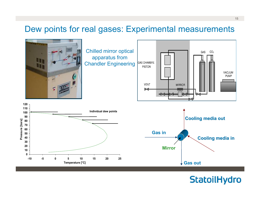### Dew points for real gases: Experimental measurements

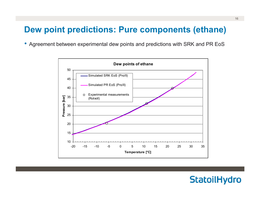## **Dew point predictions: Pure components (ethane)**

 $\bullet$ Agreement between experimental dew points and predictions with SRK and PR EoS



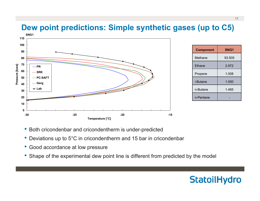## **Dew point predictions: Simple synthetic gases (up to C5)**



- •Both cricondenbar and cricondentherm is under-predicted
- •Deviations up to 5°C in cricondentherm and 15 bar in cricondenbar
- •Good accordance at low pressure
- Shape of the experimental dew point line is different from predicted by the model

## **StatoilHydro**

93.505

2.972

1.050

1.465

-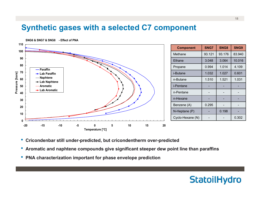### **Synthetic gases with a selected C7 component**

**SNG6 & SNG7 & SNG8 - Effect of PNA**



- •**Cricondenbar still under-predicted, but cricondentherm over-predicted**
- **Aromatic and naphtene compounds give significant steeper dew point line than paraffins**
- •**PNA characterization important for phase envelope prediction**